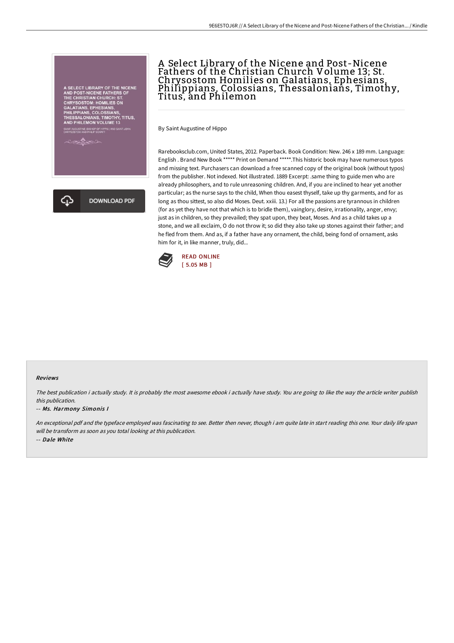



# A Select Library of the Nicene and Post-Nicene Fathers of the Christian Church Volume 13; St. Chrysostom Homilies on Galatians, Ephesians, Philippians, Colossians, Thessalonians, Timothy, Titus, and Philemon

By Saint Augustine of Hippo

Rarebooksclub.com, United States, 2012. Paperback. Book Condition: New. 246 x 189 mm. Language: English . Brand New Book \*\*\*\*\* Print on Demand \*\*\*\*\*.This historic book may have numerous typos and missing text. Purchasers can download a free scanned copy of the original book (without typos) from the publisher. Not indexed. Not illustrated. 1889 Excerpt: .same thing to guide men who are already philosophers, and to rule unreasoning children. And, if you are inclined to hear yet another particular; as the nurse says to the child, When thou easest thyself, take up thy garments, and for as long as thou sittest, so also did Moses. Deut. xxiii. 13.) For all the passions are tyrannous in children (for as yet they have not that which is to bridle them), vainglory, desire, irrationality, anger, envy; just as in children, so they prevailed; they spat upon, they beat, Moses. And as a child takes up a stone, and we all exclaim, O do not throw it; so did they also take up stones against their father; and he fled from them. And as, if a father have any ornament, the child, being fond of ornament, asks him for it, in like manner, truly, did...



### Reviews

The best publication i actually study. It is probably the most awesome ebook i actually have study. You are going to like the way the article writer publish this publication.

#### -- Ms. Harmony Simonis I

An exceptional pdf and the typeface employed was fascinating to see. Better then never, though i am quite late in start reading this one. Your daily life span will be transform as soon as you total looking at this publication. -- Dale White